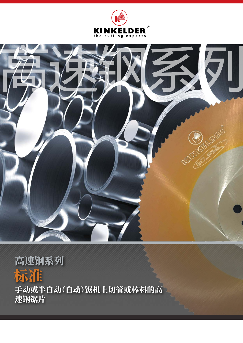



# 标准 高速钢系列

手动或半自动(自动)锯机上切管或棒料的高 速钢锯片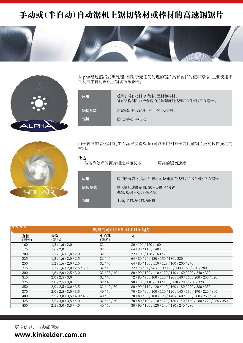## 手动或(半自动)自动锯机上锯切管材或棒材的高速钢锯片



Alpha经过蒸汽发黑处理,相对于无任何处理的锯片具有较长的使用寿命,主要使用于 手动或半自动锯机上锯切低碳钢材。

| 应用   | 适用于所有材料,如管材,型材和棒材 。<br>所有结构钢和非合金钢的拉伸强度能达到700 牛顿 /平方毫米 。 |
|------|---------------------------------------------------------|
| 锯切参数 | 建议锯切速度范围: 30 - 60 米/分钟.                                 |
| 锯机   | 锯机: 手动, 半自动                                             |
|      |                                                         |



由于较高的氧化温度,TiN涂层使得Solar可以锯切相对于前几款锯片更高拉伸强度的 材料。

#### 优点

与蒸汽处理的锯片相比寿命长多 · 更高的锯切速度

| 应用   | 适用所有管材,型材和棒材的拉伸强度达到750 N牛顿/ 平方毫米              |
|------|-----------------------------------------------|
| 锯切参数 | 建议锯切速度范围: 80-140 米/分钟<br>进给: 0,04 - 0,09 毫米/齿 |
| 锯机   | 手动, 半自动和自动锯机                                  |

| <b>ARA</b><br>典型的可用HSS ALPHA 锯片 |                     |              |                                                                     |  |
|---------------------------------|---------------------|--------------|---------------------------------------------------------------------|--|
| 直径<br>(毫米)                      | 齿宽<br>(毫米)          | 中心孔<br>(毫米)  | 牙                                                                   |  |
| 160                             | 1,2/1,6/2,0         | 32           | 80/100/120/160                                                      |  |
| 175                             | 1,6/2,0             | 32           | 64 / 90 / 110 / 140 / 180                                           |  |
| 200                             | 1,2/1,6/1,8/2,0     | 32           | 72 / 100 / 128 / 160 / 200                                          |  |
| 225                             | 1,2/1,6/2,0/2,5     | 32/40        | 64 / 80 / 90 / 120 / 150 / 180 / 220                                |  |
| 250                             | 1,2/1,6/2,0/2,5     | 32/40        | 64 / 80 / 100 / 110 / 128 / 160 / 200 / 240                         |  |
| 275                             | 1,2/1,6/2,0/2,5/3,0 | 32/40        | 72 / 78 / 84 / 96 / 110 / 120 / 144 / 180 / 220 / 280               |  |
| 300                             | 1,6/2,0/2,5/3,0     | 32 / 38 / 40 | 80 / 90 / 100 / 110 / 120 / 140 / 160 / 200 / 240 / 320             |  |
| 315                             | 2,0/2,5/3,0         | 32/40        | 72 / 80 / 90 / 100 / 110 / 120 / 140 / 160 / 200 / 250 / 320        |  |
| 325                             | 2,0/2,5/3,0         | 32/40        | 90 / 100 / 110 / 130 / 150 / 170 / 200 / 250 / 320                  |  |
| 350                             | 2,0/2,5/3,0/3,5     | 32/40/50     | 80 / 90 / 110 / 120 / 140 / 160 / 180 / 220 / 280 / 350             |  |
| 370                             | 2,0/2,5/3,0/3,5     | 40/50        | 70 / 80 / 90 / 100 / 110 / 120 / 140 / 160 / 190 / 220 / 300        |  |
| 400                             | 2,5/3,0/3,5/4,0/4,5 | 40/50        | 70 / 80 / 90 / 100 / 128 / 140 / 160 / 180 / 200 / 250 / 320        |  |
| 425                             | 2,5/3,0/3,5/4,0     | 32/40/50     | 70 / 80 / 100 / 110 / 120 / 130 / 140 / 160 / 180 / 220 / 260 / 350 |  |
| 450                             | 2,5/3,0/3,5/4,0     | 40/50        | 80 / 90 / 100 / 120 / 140 / 180 / 240 / 280                         |  |

更多信息,请参阅网站 **www.kinkelder.com.cn**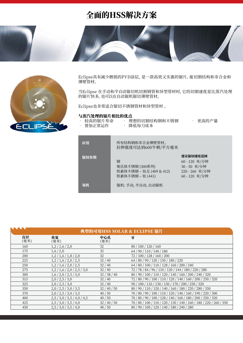### 全面的HSS解决方案



Eclipse具有减少磨损的PVD涂层,是一款高效又实惠的锯片。能切割结构和非合金和 薄壁管材。

当Eclipse 在手动和半自动锯切机切割钢管和异型管材时,它的切割速度是比蒸汽处理 的锯片快多,也可以在自动锯机锯切薄壁管材。

Eclipse也非常适合锯切不锈钢管材和异型管材 。

#### 与蒸汽处理的锯片相比的优点

- 
- 
- 较高的锯片寿命 埋想的切割结构钢相不锈钢 更高的产量
- 

• 胃加止常运作 • 降低每刀成本

| 应用   | 所有结构钢和非合金薄壁管材。<br>拉伸强度可达到600牛顿/平方毫米                                |                                                                          |
|------|--------------------------------------------------------------------|--------------------------------------------------------------------------|
| 锯切参数 | 钢<br>奥氏体不锈钢 (300系列)<br>铁素体不锈钢 - 钛无 (409 & 412)<br>铁素体不锈钢 - 钛 (441) | 建议锯切速度范围<br>60-120 米/分钟<br>30-50 米/分钟<br>220 - 260 米/分钟<br>60 - 120 米/分钟 |
| 锯机   | 锯机: 手动, 半自动, 自动锯机                                                  |                                                                          |

|            | 典型的可用HSS SOLAR & ECLIPSE 锯片 |              |                                                                     |  |  |
|------------|-----------------------------|--------------|---------------------------------------------------------------------|--|--|
| 直径<br>(毫米) | 齿宽<br>(毫米)                  | 中心孔<br>(毫米)  | 牙                                                                   |  |  |
| 160        | 1,2/1,6/2,0                 | 32           | 80 / 100 / 120 / 160                                                |  |  |
| 175        | 1,6/2,0                     | 32           | 64/90/110/140/180                                                   |  |  |
| 200        | 1,2/1,6/1,8/2,0             | 32           | 72 / 100 / 128 / 160 / 200                                          |  |  |
| 225        | 1,2/1,6/2,0/2,5             | 32/40        | 64 / 80 / 90 / 120 / 150 / 180 / 220                                |  |  |
| 250        | 1,2/1,6/2,0/2,5             | 32/40        | 64 / 80 / 100 / 110 / 128 / 160 / 200 / 240                         |  |  |
| 275        | 1,2/1,6/2,0/2,5/3,0         | 32/40        | 72 / 78 / 84 / 96 / 110 / 120 / 144 / 180 / 220 / 280               |  |  |
| 300        | 1,6/2,0/2,5/3,0             | 32 / 38 / 40 | 80 / 90 / 100 / 110 / 120 / 140 / 160 / 200 / 240 / 320             |  |  |
| 315        | 2,0/2,5/3,0                 | 32/40        | 72 / 80 / 90 / 100 / 110 / 120 / 140 / 160 / 200 / 250 / 320        |  |  |
| 325        | 2,0/2,5/3,0                 | 32/40        | 90 / 100 / 110 / 130 / 150 / 170 / 200 / 250 / 320                  |  |  |
| 350        | 2,0/2,5/3,0/3,5             | 32/40/50     | 80 / 90 / 110 / 120 / 140 / 160 / 180 / 220 / 280 / 350             |  |  |
| 370        | 2,0/2,5/3,0/3,5             | 40/50        | 70 / 80 / 90 / 100 / 110 / 120 / 140 / 160 / 190 / 220 / 300        |  |  |
| 400        | 2,5/3,0/3,5/4,0/4,5         | 40/50        | 70 / 80 / 90 / 100 / 128 / 140 / 160 / 180 / 200 / 250 / 320        |  |  |
| 425        | 2,5/3,0/3,5/4,0             | 32/40/50     | 70 / 80 / 100 / 110 / 120 / 130 / 140 / 160 / 180 / 220 / 260 / 350 |  |  |
| 450        | 2,5/3,0/3,5/4,0             | 40/50        | 80 / 90 / 100 / 120 / 140 / 180 / 240 / 280                         |  |  |